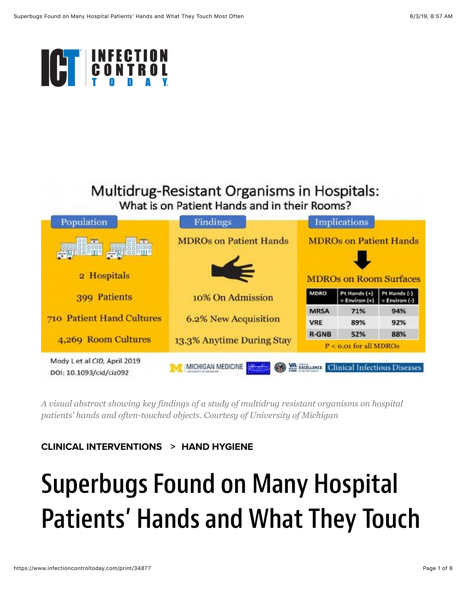

### Multidrug-Resistant Organisms in Hospitals: What is on Patient Hands and in their Rooms?



*A visual abstract showing key findings of a study of multidrug resistant organisms on hospital patients' hands and often-touched objects. Courtesy of University of Michigan*

#### **[CLINICAL INTERVENTIONS](https://www.infectioncontroltoday.com/clinical-interventions) > [HAND HYGIENE](https://www.infectioncontroltoday.com/clinical-interventions/hand-hygiene)**

# Superbugs Found on Many Hospital Patients' Hands and What They Touch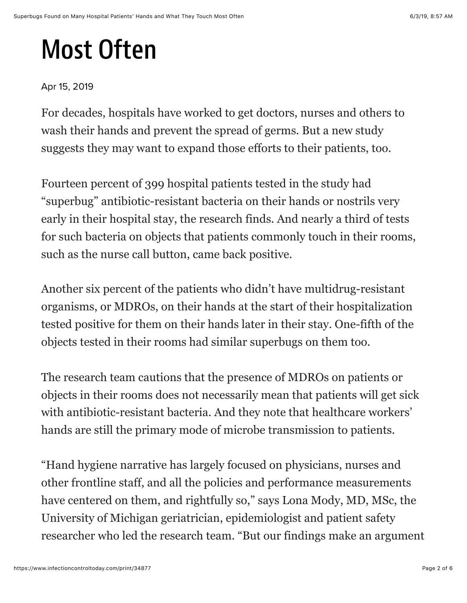## Most Often

### Apr 15, 2019

For decades, hospitals have worked to get doctors, nurses and others to wash their hands and prevent the spread of germs. But a new study suggests they may want to expand those efforts to their patients, too.

Fourteen percent of 399 hospital patients tested in the study had "superbug" antibiotic-resistant bacteria on their hands or nostrils very early in their hospital stay, the research finds. And nearly a third of tests for such bacteria on objects that patients commonly touch in their rooms, such as the nurse call button, came back positive.

Another six percent of the patients who didn't have multidrug-resistant organisms, or MDROs, on their hands at the start of their hospitalization tested positive for them on their hands later in their stay. One-fifth of the objects tested in their rooms had similar superbugs on them too.

The research team cautions that the presence of MDROs on patients or objects in their rooms does not necessarily mean that patients will get sick with antibiotic-resistant bacteria. And they note that healthcare workers' hands are still the primary mode of microbe transmission to patients.

"Hand hygiene narrative has largely focused on physicians, nurses and other frontline staff, and all the policies and performance measurements have centered on them, and rightfully so," says Lona Mody, MD, MSc, the University of Michigan geriatrician, epidemiologist and patient safety researcher who led the research team. "But our findings make an argument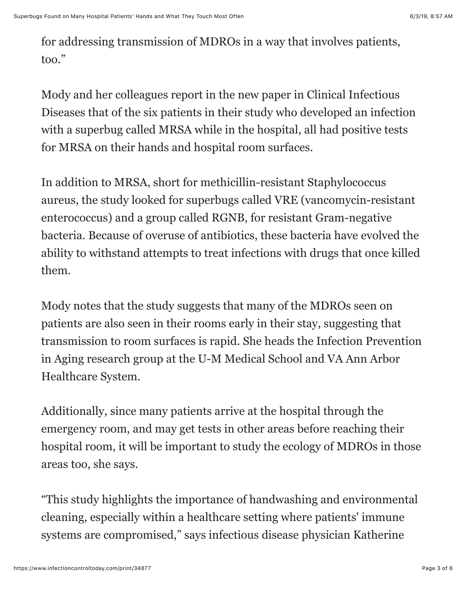for addressing transmission of MDROs in a way that involves patients, too."

Mody and her colleagues report in the new paper in Clinical Infectious Diseases that of the six patients in their study who developed an infection with a superbug called MRSA while in the hospital, all had positive tests for MRSA on their hands and hospital room surfaces.

In addition to MRSA, short for methicillin-resistant Staphylococcus aureus, the study looked for superbugs called VRE (vancomycin-resistant enterococcus) and a group called RGNB, for resistant Gram-negative bacteria. Because of overuse of antibiotics, these bacteria have evolved the ability to withstand attempts to treat infections with drugs that once killed them.

Mody notes that the study suggests that many of the MDROs seen on patients are also seen in their rooms early in their stay, suggesting that transmission to room surfaces is rapid. She heads the Infection Prevention in Aging research group at the U-M Medical School and VA Ann Arbor Healthcare System.

Additionally, since many patients arrive at the hospital through the emergency room, and may get tests in other areas before reaching their hospital room, it will be important to study the ecology of MDROs in those areas too, she says.

"This study highlights the importance of handwashing and environmental cleaning, especially within a healthcare setting where patients' immune systems are compromised," says infectious disease physician Katherine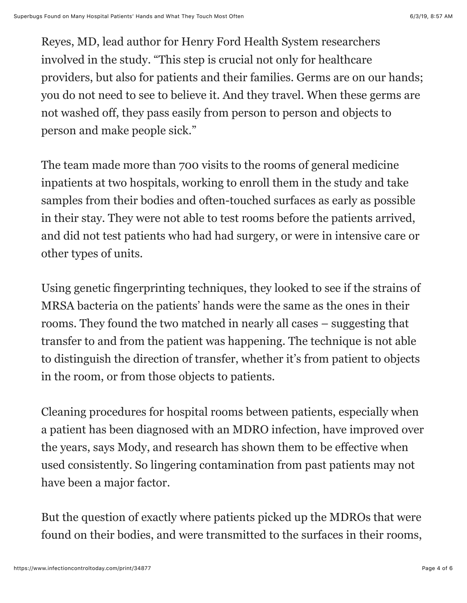Reyes, MD, lead author for Henry Ford Health System researchers involved in the study. "This step is crucial not only for healthcare providers, but also for patients and their families. Germs are on our hands; you do not need to see to believe it. And they travel. When these germs are not washed off, they pass easily from person to person and objects to person and make people sick."

The team made more than 700 visits to the rooms of general medicine inpatients at two hospitals, working to enroll them in the study and take samples from their bodies and often-touched surfaces as early as possible in their stay. They were not able to test rooms before the patients arrived, and did not test patients who had had surgery, or were in intensive care or other types of units.

Using genetic fingerprinting techniques, they looked to see if the strains of MRSA bacteria on the patients' hands were the same as the ones in their rooms. They found the two matched in nearly all cases – suggesting that transfer to and from the patient was happening. The technique is not able to distinguish the direction of transfer, whether it's from patient to objects in the room, or from those objects to patients.

Cleaning procedures for hospital rooms between patients, especially when a patient has been diagnosed with an MDRO infection, have improved over the years, says Mody, and research has shown them to be effective when used consistently. So lingering contamination from past patients may not have been a major factor.

But the question of exactly where patients picked up the MDROs that were found on their bodies, and were transmitted to the surfaces in their rooms,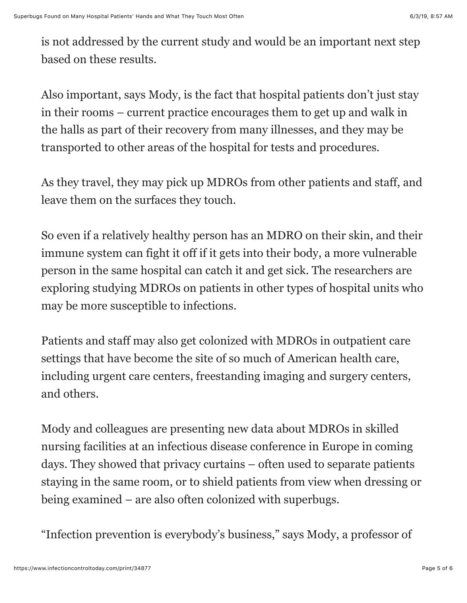is not addressed by the current study and would be an important next step based on these results.

Also important, says Mody, is the fact that hospital patients don't just stay in their rooms – current practice encourages them to get up and walk in the halls as part of their recovery from many illnesses, and they may be transported to other areas of the hospital for tests and procedures.

As they travel, they may pick up MDROs from other patients and staff, and leave them on the surfaces they touch.

So even if a relatively healthy person has an MDRO on their skin, and their immune system can fight it off if it gets into their body, a more vulnerable person in the same hospital can catch it and get sick. The researchers are exploring studying MDROs on patients in other types of hospital units who may be more susceptible to infections.

Patients and staff may also get colonized with MDROs in outpatient care settings that have become the site of so much of American health care, including urgent care centers, freestanding imaging and surgery centers, and others.

Mody and colleagues are presenting new data about MDROs in skilled nursing facilities at an infectious disease conference in Europe in coming days. They showed that privacy curtains – often used to separate patients staying in the same room, or to shield patients from view when dressing or being examined – are also often colonized with superbugs.

"Infection prevention is everybody's business," says Mody, a professor of